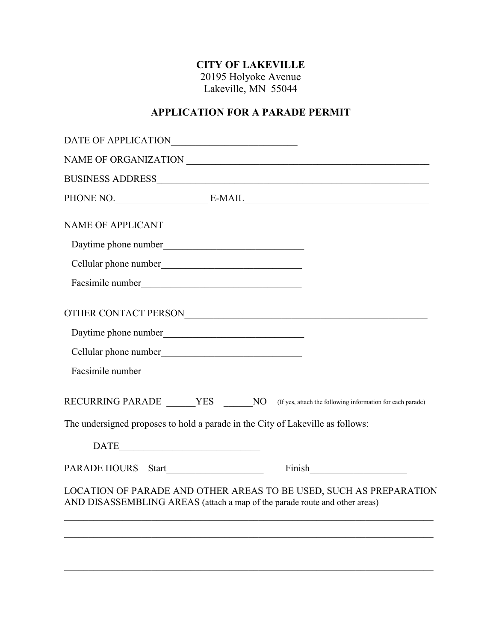# **CITY OF LAKEVILLE**

20195 Holyoke Avenue Lakeville, MN 55044

### **APPLICATION FOR A PARADE PERMIT**

| DATE OF APPLICATIONNNA AND A STATE OF APPLICATIONNA AND A STATE OF A PPLICATION                                                                  |  |  |  |
|--------------------------------------------------------------------------------------------------------------------------------------------------|--|--|--|
|                                                                                                                                                  |  |  |  |
|                                                                                                                                                  |  |  |  |
|                                                                                                                                                  |  |  |  |
| NAME OF APPLICANT                                                                                                                                |  |  |  |
|                                                                                                                                                  |  |  |  |
|                                                                                                                                                  |  |  |  |
|                                                                                                                                                  |  |  |  |
|                                                                                                                                                  |  |  |  |
|                                                                                                                                                  |  |  |  |
|                                                                                                                                                  |  |  |  |
|                                                                                                                                                  |  |  |  |
| RECURRING PARADE _______YES ________NO (If yes, attach the following information for each parade)                                                |  |  |  |
| The undersigned proposes to hold a parade in the City of Lakeville as follows:                                                                   |  |  |  |
| $\begin{tabular}{c} DATE \end{tabular}$                                                                                                          |  |  |  |
| PARADE HOURS Start                                                                                                                               |  |  |  |
| LOCATION OF PARADE AND OTHER AREAS TO BE USED, SUCH AS PREPARATION<br>AND DISASSEMBLING AREAS (attach a map of the parade route and other areas) |  |  |  |
|                                                                                                                                                  |  |  |  |
|                                                                                                                                                  |  |  |  |
|                                                                                                                                                  |  |  |  |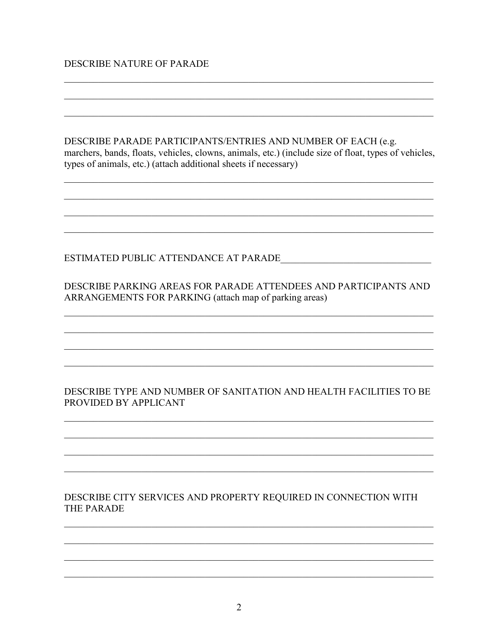#### DESCRIBE NATURE OF PARADE

DESCRIBE PARADE PARTICIPANTS/ENTRIES AND NUMBER OF EACH (e.g. marchers, bands, floats, vehicles, clowns, animals, etc.) (include size of float, types of vehicles, types of animals, etc.) (attach additional sheets if necessary)

DESCRIBE PARKING AREAS FOR PARADE ATTENDEES AND PARTICIPANTS AND ARRANGEMENTS FOR PARKING (attach map of parking areas)

#### DESCRIBE TYPE AND NUMBER OF SANITATION AND HEALTH FACILITIES TO BE PROVIDED BY APPLICANT

#### DESCRIBE CITY SERVICES AND PROPERTY REQUIRED IN CONNECTION WITH THE PARADE